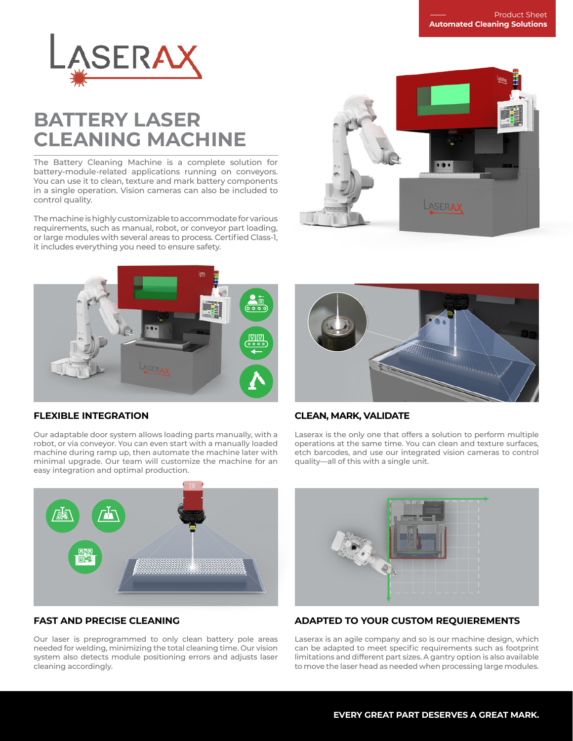

# **BATTERY LASER CLEANING MACHINE**

The Battery Cleaning Machine is a complete solution for battery-module-related applications running on conveyors. You can use it to clean, texture and mark battery components in a single operation. Vision cameras can also be included to control quality.

The machine is highly customizable to accommodate for various requirements, such as manual, robot, or conveyor part loading, or large modules with several areas to process. Certified Class-1, it includes everything you need to ensure safety.





### **FLEXIBLE INTEGRATION**

Our adaptable door system allows loading parts manually, with a robot, or via conveyor. You can even start with a manually loaded machine during ramp up, then automate the machine later with minimal upgrade. Our team will customize the machine for an easy integration and optimal production.



### **CLEAN, MARK, VALIDATE**

Laserax is the only one that offers a solution to perform multiple operations at the same time. You can clean and texture surfaces, etch barcodes, and use our integrated vision cameras to control quality—all of this with a single unit.



### **FAST AND PRECISE CLEANING**

Our laser is preprogrammed to only clean battery pole areas needed for welding, minimizing the total cleaning time. Our vision system also detects module positioning errors and adjusts laser cleaning accordingly.



## **ADAPTED TO YOUR CUSTOM REQUIEREMENTS**

Laserax is an agile company and so is our machine design, which can be adapted to meet specific requirements such as footprint limitations and different part sizes. A gantry option is also available to move the laser head as needed when processing large modules.